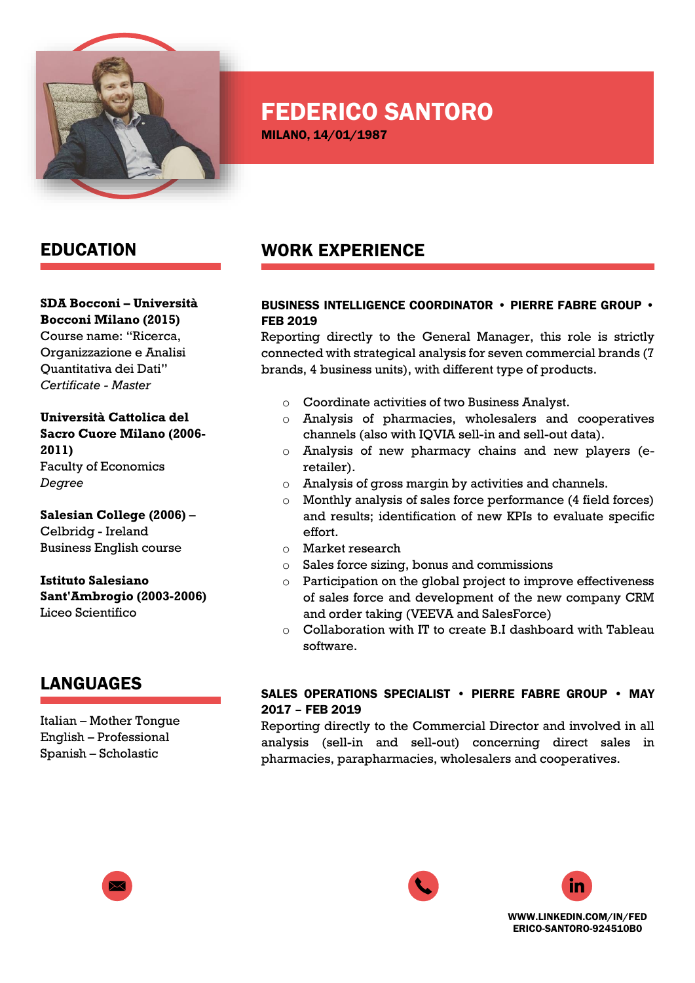

# FEDERICO SANTORO

MILANO, 14/01/1987

### EDUCATION

#### **SDA Bocconi – Università Bocconi Milano (2015)**

Course name: "Ricerca, Organizzazione e Analisi Quantitativa dei Dati" *Certificate - Master*

**Università Cattolica del Sacro Cuore Milano (2006- 2011)** Faculty of Economics *Degree*

**Salesian College (2006)** – Celbridg - Ireland Business English course

**Istituto Salesiano Sant'Ambrogio (2003-2006)** Liceo Scientifico

# LANGUAGES

Italian – Mother Tongue English – Professional Spanish – Scholastic

## WORK EXPERIENCE

#### BUSINESS INTELLIGENCE COORDINATOR • PIERRE FABRE GROUP • FEB 2019

Reporting directly to the General Manager, this role is strictly connected with strategical analysis for seven commercial brands (7 brands, 4 business units), with different type of products.

- o Coordinate activities of two Business Analyst.
- o Analysis of pharmacies, wholesalers and cooperatives channels (also with IQVIA sell-in and sell-out data).
- o Analysis of new pharmacy chains and new players (eretailer).
- o Analysis of gross margin by activities and channels.
- o Monthly analysis of sales force performance (4 field forces) and results; identification of new KPIs to evaluate specific effort.
- o Market research
- o Sales force sizing, bonus and commissions
- o Participation on the global project to improve effectiveness of sales force and development of the new company CRM and order taking (VEEVA and SalesForce)
- o Collaboration with IT to create B.I dashboard with Tableau software.

#### SALES OPERATIONS SPECIALIST • PIERRE FABRE GROUP • MAY 2017 – FEB 2019

Reporting directly to the Commercial Director and involved in all analysis (sell-in and sell-out) concerning direct sales in pharmacies, parapharmacies, wholesalers and cooperatives.







[WWW.LINKEDIN.COM/IN/FED](http://www.linkedin.com/in/federico-santoro-924510b0) [ERICO-SANTORO-924510B0](http://www.linkedin.com/in/federico-santoro-924510b0)